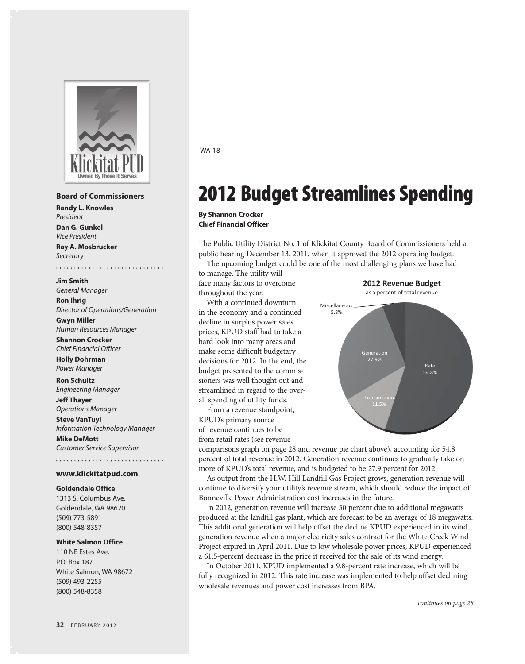

#### **Board of Commissioners**

**Randy L. Knowles** *President* **Dan G. Gunkel**

*Vice President* **Ray A. Mosbrucker**

*Secretary*

**Jim Smith** *General Manager*

**Ron Ihrig** *Director of Operations/Generation*

**Gwyn Miller**  *Human Resources Manager*

**Shannon Crocker** *Chief Financial Officer* 

**Holly Dohrman** *Power Manager*

**Ron Schultz** *Engineering Manager*

**Jeff Thayer** *Operations Manager*

**Steve VanTuyl** *Information Technology Manager* **Mike DeMott**

*Customer Service Supervisor*

#### **www.klickitatpud.com**

#### **Goldendale Office**

1313 S. Columbus Ave. Goldendale, WA 98620 (509) 773-5891 (800) 548-8357

#### **White Salmon Office**

110 NE Estes Ave. P.O. Box 187 White Salmon, WA 98672 (509) 493-2255 (800) 548-8358

#### WA-18

# 2012 Budget Streamlines Spending

**By Shannon Crocker Chief Financial Officer**

The Public Utility District No. 1 of Klickitat County Board of Commissioners held a public hearing December 13, 2011, when it approved the 2012 operating budget.

The upcoming budget could be one of the most challenging plans we have had to manage. The utility will

face many factors to overcome throughout the year.

With a continued downturn in the economy and a continued decline in surplus power sales prices, KPUD staff had to take a hard look into many areas and make some difficult budgetary decisions for 2012. In the end, the budget presented to the commissioners was well thought out and streamlined in regard to the overall spending of utility funds.

From a revenue standpoint, KPUD's primary source of revenue continues to be from retail rates (see revenue





comparisons graph on page 28 and revenue pie chart above), accounting for 54.8 percent of total revenue in 2012. Generation revenue continues to gradually take on more of KPUD's total revenue, and is budgeted to be 27.9 percent for 2012.

As output from the H.W. Hill Landfill Gas Project grows, generation revenue will continue to diversify your utility's revenue stream, which should reduce the impact of Bonneville Power Administration cost increases in the future.

In 2012, generation revenue will increase 30 percent due to additional megawatts produced at the landfill gas plant, which are forecast to be an average of 18 megawatts. This additional generation will help offset the decline KPUD experienced in its wind generation revenue when a major electricity sales contract for the White Creek Wind Project expired in April 2011. Due to low wholesale power prices, KPUD experienced a 61.5-percent decrease in the price it received for the sale of its wind energy.

In October 2011, KPUD implemented a 9.8-percent rate increase, which will be fully recognized in 2012. This rate increase was implemented to help offset declining wholesale revenues and power cost increases from BPA.